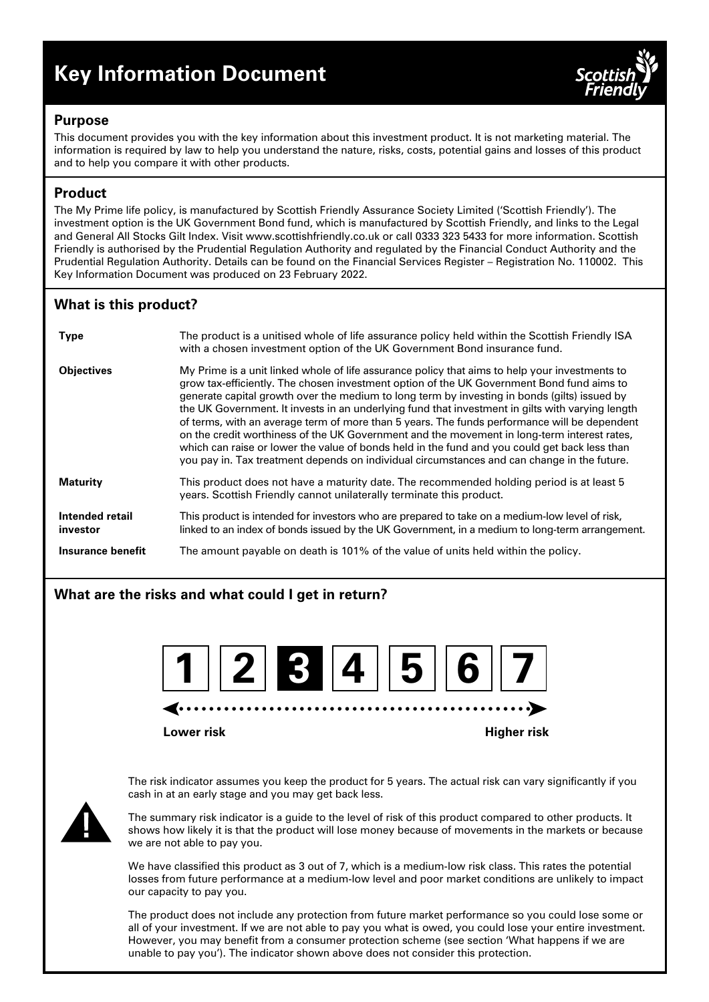# **Key Information Document**



## **Purpose**

This document provides you with the key information about this investment product. It is not marketing material. The information is required by law to help you understand the nature, risks, costs, potential gains and losses of this product and to help you compare it with other products.

# **Product**

The My Prime life policy, is manufactured by Scottish Friendly Assurance Society Limited ('Scottish Friendly'). The investment option is the UK Government Bond fund, which is manufactured by Scottish Friendly, and links to the Legal and General All Stocks Gilt Index. Visit www.scottishfriendly.co.uk or call 0333 323 5433 for more information. Scottish Friendly is authorised by the Prudential Regulation Authority and regulated by the Financial Conduct Authority and the Prudential Regulation Authority. Details can be found on the Financial Services Register – Registration No. 110002. This Key Information Document was produced on 23 February 2022.

# **What is this product?**

| <b>Type</b>                 | The product is a unitised whole of life assurance policy held within the Scottish Friendly ISA<br>with a chosen investment option of the UK Government Bond insurance fund.                                                                                                                                                                                                                                                                                                                                                                                                                                                                                                                                                                                                                    |
|-----------------------------|------------------------------------------------------------------------------------------------------------------------------------------------------------------------------------------------------------------------------------------------------------------------------------------------------------------------------------------------------------------------------------------------------------------------------------------------------------------------------------------------------------------------------------------------------------------------------------------------------------------------------------------------------------------------------------------------------------------------------------------------------------------------------------------------|
| <b>Objectives</b>           | My Prime is a unit linked whole of life assurance policy that aims to help your investments to<br>grow tax-efficiently. The chosen investment option of the UK Government Bond fund aims to<br>generate capital growth over the medium to long term by investing in bonds (gilts) issued by<br>the UK Government. It invests in an underlying fund that investment in gilts with varying length<br>of terms, with an average term of more than 5 years. The funds performance will be dependent<br>on the credit worthiness of the UK Government and the movement in long-term interest rates,<br>which can raise or lower the value of bonds held in the fund and you could get back less than<br>you pay in. Tax treatment depends on individual circumstances and can change in the future. |
| Maturity                    | This product does not have a maturity date. The recommended holding period is at least 5<br>years. Scottish Friendly cannot unilaterally terminate this product.                                                                                                                                                                                                                                                                                                                                                                                                                                                                                                                                                                                                                               |
| Intended retail<br>investor | This product is intended for investors who are prepared to take on a medium-low level of risk,<br>linked to an index of bonds issued by the UK Government, in a medium to long-term arrangement.                                                                                                                                                                                                                                                                                                                                                                                                                                                                                                                                                                                               |
| Insurance benefit           | The amount payable on death is 101% of the value of units held within the policy.                                                                                                                                                                                                                                                                                                                                                                                                                                                                                                                                                                                                                                                                                                              |

# **What are the risks and what could I get in return?**



**Lower risk Higher risk**

The risk indicator assumes you keep the product for 5 years. The actual risk can vary significantly if you cash in at an early stage and you may get back less.



The summary risk indicator is a guide to the level of risk of this product compared to other products. It shows how likely it is that the product will lose money because of movements in the markets or because we are not able to pay you.

We have classified this product as 3 out of 7, which is a medium-low risk class. This rates the potential losses from future performance at a medium-low level and poor market conditions are unlikely to impact our capacity to pay you.

The product does not include any protection from future market performance so you could lose some or all of your investment. If we are not able to pay you what is owed, you could lose your entire investment. However, you may benefit from a consumer protection scheme (see section 'What happens if we are unable to pay you'). The indicator shown above does not consider this protection.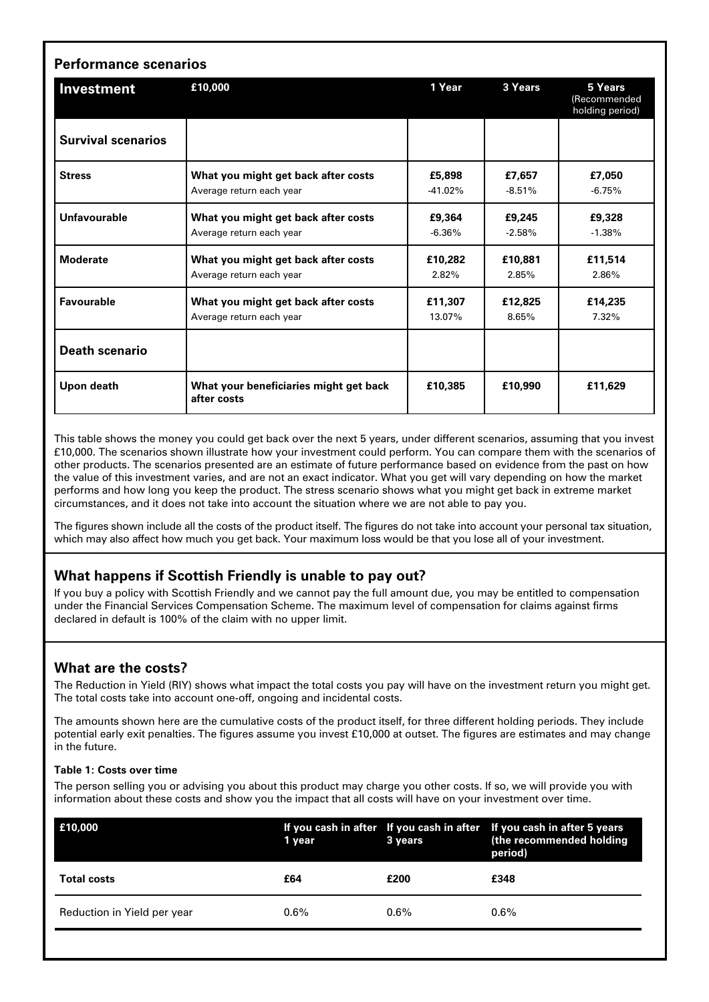| Investment                | £10,000                                               | 1 Year    | 3 Years  | 5 Years<br>(Recommended<br>holding period) |
|---------------------------|-------------------------------------------------------|-----------|----------|--------------------------------------------|
| <b>Survival scenarios</b> |                                                       |           |          |                                            |
| <b>Stress</b>             | What you might get back after costs                   | £5,898    | £7,657   | £7,050                                     |
|                           | Average return each year                              | $-41.02%$ | $-8.51%$ | $-6.75%$                                   |
| Unfavourable              | What you might get back after costs                   | £9,364    | £9,245   | £9,328                                     |
|                           | Average return each year                              | $-6.36%$  | $-2.58%$ | $-1.38%$                                   |
| <b>Moderate</b>           | What you might get back after costs                   | £10,282   | £10,881  | £11,514                                    |
|                           | Average return each year                              | 2.82%     | 2.85%    | 2.86%                                      |
| <b>Favourable</b>         | What you might get back after costs                   | £11,307   | £12,825  | £14,235                                    |
|                           | Average return each year                              | 13.07%    | 8.65%    | 7.32%                                      |
| <b>Death scenario</b>     |                                                       |           |          |                                            |
| Upon death                | What your beneficiaries might get back<br>after costs | £10.385   | £10.990  | £11,629                                    |

This table shows the money you could get back over the next 5 years, under different scenarios, assuming that you invest £10,000. The scenarios shown illustrate how your investment could perform. You can compare them with the scenarios of other products. The scenarios presented are an estimate of future performance based on evidence from the past on how the value of this investment varies, and are not an exact indicator. What you get will vary depending on how the market performs and how long you keep the product. The stress scenario shows what you might get back in extreme market circumstances, and it does not take into account the situation where we are not able to pay you.

The figures shown include all the costs of the product itself. The figures do not take into account your personal tax situation, which may also affect how much you get back. Your maximum loss would be that you lose all of your investment.

## **What happens if Scottish Friendly is unable to pay out?**

If you buy a policy with Scottish Friendly and we cannot pay the full amount due, you may be entitled to compensation under the Financial Services Compensation Scheme. The maximum level of compensation for claims against firms declared in default is 100% of the claim with no upper limit.

## **What are the costs?**

The Reduction in Yield (RIY) shows what impact the total costs you pay will have on the investment return you might get. The total costs take into account one-off, ongoing and incidental costs.

The amounts shown here are the cumulative costs of the product itself, for three different holding periods. They include potential early exit penalties. The figures assume you invest £10,000 at outset. The figures are estimates and may change in the future.

#### **Table 1: Costs over time**

The person selling you or advising you about this product may charge you other costs. If so, we will provide you with information about these costs and show you the impact that all costs will have on your investment over time.

| £10,000                     | 1 year  | 3 years | If you cash in after If you cash in after If you cash in after 5 years<br>(the recommended holding<br>period) |
|-----------------------------|---------|---------|---------------------------------------------------------------------------------------------------------------|
| <b>Total costs</b>          | £64     | £200    | £348                                                                                                          |
| Reduction in Yield per year | $0.6\%$ | $0.6\%$ | $0.6\%$                                                                                                       |